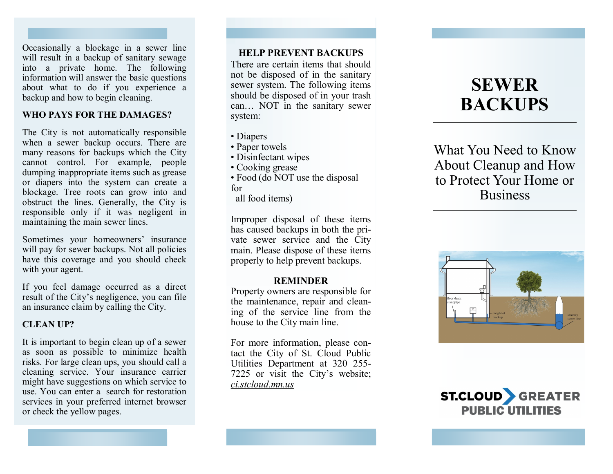Occasionally a blockage in a sewer line will result in a backup of sanitary sewage into a private home. The following information will answer the basic questions about what to do if you experience a backup and how to begin cleaning.

# **WHO PAYS FOR THE DAMAGES?**

The City is not automatically responsible when a sewer backup occurs. There are many reasons for backups which the City cannot control. For example, people dumping inappropriate items such as grease or diapers into the system can create a blockage. Tree roots can grow into and obstruct the lines. Generally, the City is responsible only if it was negligent in maintaining the main sewer lines.

Sometimes your homeowners' insurance will pay for sewer backups. Not all policies have this coverage and you should check with your agent.

If you feel damage occurred as a direct result of the City's negligence, you can file an insurance claim by calling the City.

#### **CLEAN UP?**

It is important to begin clean up of a sewer as soon as possible to minimize health risks. For large clean ups, you should call a cleaning service. Your insurance carrier might have suggestions on which service to use. You can enter a search for restoration services in your preferred internet browser or check the yellow pages.

# **HELP PREVENT BACKUPS**

There are certain items that should not be disposed of in the sanitary sewer system. The following items should be disposed of in your trash can… NOT in the sanitary sewer system:

- Diapers
- Paper towels
- Disinfectant wipes
- Cooking grease
- Food (do NOT use the disposal for

all food items)

Improper disposal of these items has caused backups in both the private sewer service and the City main. Please dispose of these items properly to help prevent backups.

#### **REMINDER**

Property owners are responsible for the maintenance, repair and cleaning of the service line from the house to the City main line.

For more information, please contact the City of St. Cloud Public Utilities Department at 320 255- 7225 or visit the City's website; *ci.stcloud.mn.us*

# **SEWER BACKUPS**

What You Need to Know About Cleanup and How to Protect Your Home or **Business**